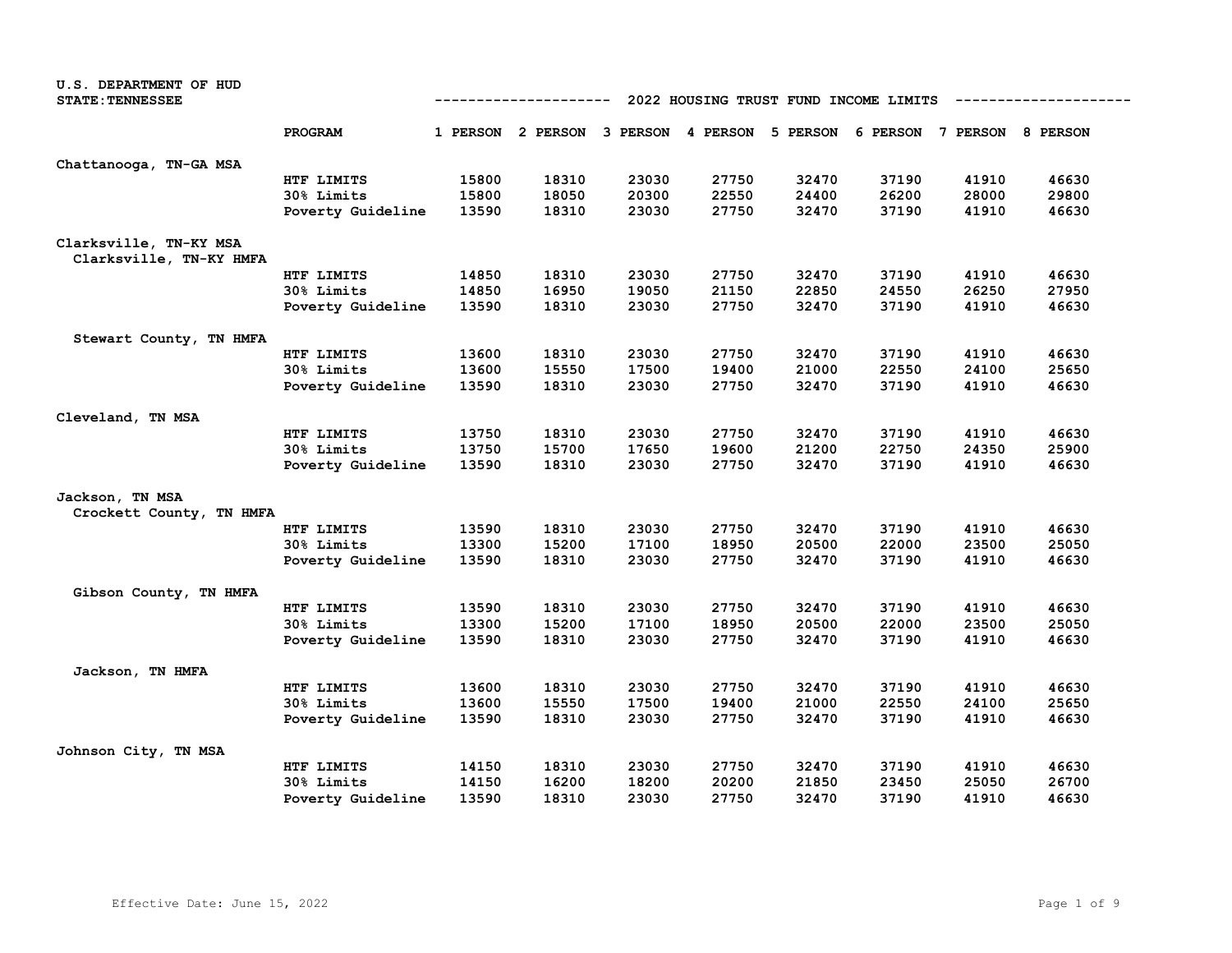| U.S. DEPARTMENT OF HUD<br><b>STATE: TENNESSEE</b> |                   | 2022 HOUSING TRUST FUND INCOME LIMITS |                                                                         |       |       |       |       |       |       |  |  |
|---------------------------------------------------|-------------------|---------------------------------------|-------------------------------------------------------------------------|-------|-------|-------|-------|-------|-------|--|--|
|                                                   | PROGRAM           |                                       | 1 PERSON 2 PERSON 3 PERSON 4 PERSON 5 PERSON 6 PERSON 7 PERSON 8 PERSON |       |       |       |       |       |       |  |  |
| Chattanooga, TN-GA MSA                            |                   |                                       |                                                                         |       |       |       |       |       |       |  |  |
|                                                   | HTF LIMITS        | 15800                                 | 18310                                                                   | 23030 | 27750 | 32470 | 37190 | 41910 | 46630 |  |  |
|                                                   | 30% Limits        | 15800                                 | 18050                                                                   | 20300 | 22550 | 24400 | 26200 | 28000 | 29800 |  |  |
|                                                   | Poverty Guideline | 13590                                 | 18310                                                                   | 23030 | 27750 | 32470 | 37190 | 41910 | 46630 |  |  |
| Clarksville, TN-KY MSA<br>Clarksville, TN-KY HMFA |                   |                                       |                                                                         |       |       |       |       |       |       |  |  |
|                                                   | HTF LIMITS        | 14850                                 | 18310                                                                   | 23030 | 27750 | 32470 | 37190 | 41910 | 46630 |  |  |
|                                                   | 30% Limits        | 14850                                 | 16950                                                                   | 19050 | 21150 | 22850 | 24550 | 26250 | 27950 |  |  |
|                                                   | Poverty Guideline | 13590                                 | 18310                                                                   | 23030 | 27750 | 32470 | 37190 | 41910 | 46630 |  |  |
| Stewart County, TN HMFA                           |                   |                                       |                                                                         |       |       |       |       |       |       |  |  |
|                                                   | HTF LIMITS        | 13600                                 | 18310                                                                   | 23030 | 27750 | 32470 | 37190 | 41910 | 46630 |  |  |
|                                                   | 30% Limits        | 13600                                 | 15550                                                                   | 17500 | 19400 | 21000 | 22550 | 24100 | 25650 |  |  |
|                                                   | Poverty Guideline | 13590                                 | 18310                                                                   | 23030 | 27750 | 32470 | 37190 | 41910 | 46630 |  |  |
| Cleveland, TN MSA                                 |                   |                                       |                                                                         |       |       |       |       |       |       |  |  |
|                                                   | HTF LIMITS        | 13750                                 | 18310                                                                   | 23030 | 27750 | 32470 | 37190 | 41910 | 46630 |  |  |
|                                                   | 30% Limits        | 13750                                 | 15700                                                                   | 17650 | 19600 | 21200 | 22750 | 24350 | 25900 |  |  |
|                                                   | Poverty Guideline | 13590                                 | 18310                                                                   | 23030 | 27750 | 32470 | 37190 | 41910 | 46630 |  |  |
| Jackson, TN MSA<br>Crockett County, TN HMFA       |                   |                                       |                                                                         |       |       |       |       |       |       |  |  |
|                                                   | HTF LIMITS        | 13590                                 | 18310                                                                   | 23030 | 27750 | 32470 | 37190 | 41910 | 46630 |  |  |
|                                                   | 30% Limits        | 13300                                 | 15200                                                                   | 17100 | 18950 | 20500 | 22000 | 23500 | 25050 |  |  |
|                                                   | Poverty Guideline | 13590                                 | 18310                                                                   | 23030 | 27750 | 32470 | 37190 | 41910 | 46630 |  |  |
| Gibson County, TN HMFA                            |                   |                                       |                                                                         |       |       |       |       |       |       |  |  |
|                                                   | HTF LIMITS        | 13590                                 | 18310                                                                   | 23030 | 27750 | 32470 | 37190 | 41910 | 46630 |  |  |
|                                                   | 30% Limits        | 13300                                 | 15200                                                                   | 17100 | 18950 | 20500 | 22000 | 23500 | 25050 |  |  |
|                                                   | Poverty Guideline | 13590                                 | 18310                                                                   | 23030 | 27750 | 32470 | 37190 | 41910 | 46630 |  |  |
| Jackson, TN HMFA                                  |                   |                                       |                                                                         |       |       |       |       |       |       |  |  |
|                                                   | HTF LIMITS        | 13600                                 | 18310                                                                   | 23030 | 27750 | 32470 | 37190 | 41910 | 46630 |  |  |
|                                                   | 30% Limits        | 13600                                 | 15550                                                                   | 17500 | 19400 | 21000 | 22550 | 24100 | 25650 |  |  |
|                                                   | Poverty Guideline | 13590                                 | 18310                                                                   | 23030 | 27750 | 32470 | 37190 | 41910 | 46630 |  |  |
| Johnson City, TN MSA                              |                   |                                       |                                                                         |       |       |       |       |       |       |  |  |
|                                                   | HTF LIMITS        | 14150                                 | 18310                                                                   | 23030 | 27750 | 32470 | 37190 | 41910 | 46630 |  |  |
|                                                   | 30% Limits        | 14150                                 | 16200                                                                   | 18200 | 20200 | 21850 | 23450 | 25050 | 26700 |  |  |
|                                                   | Poverty Guideline | 13590                                 | 18310                                                                   | 23030 | 27750 | 32470 | 37190 | 41910 | 46630 |  |  |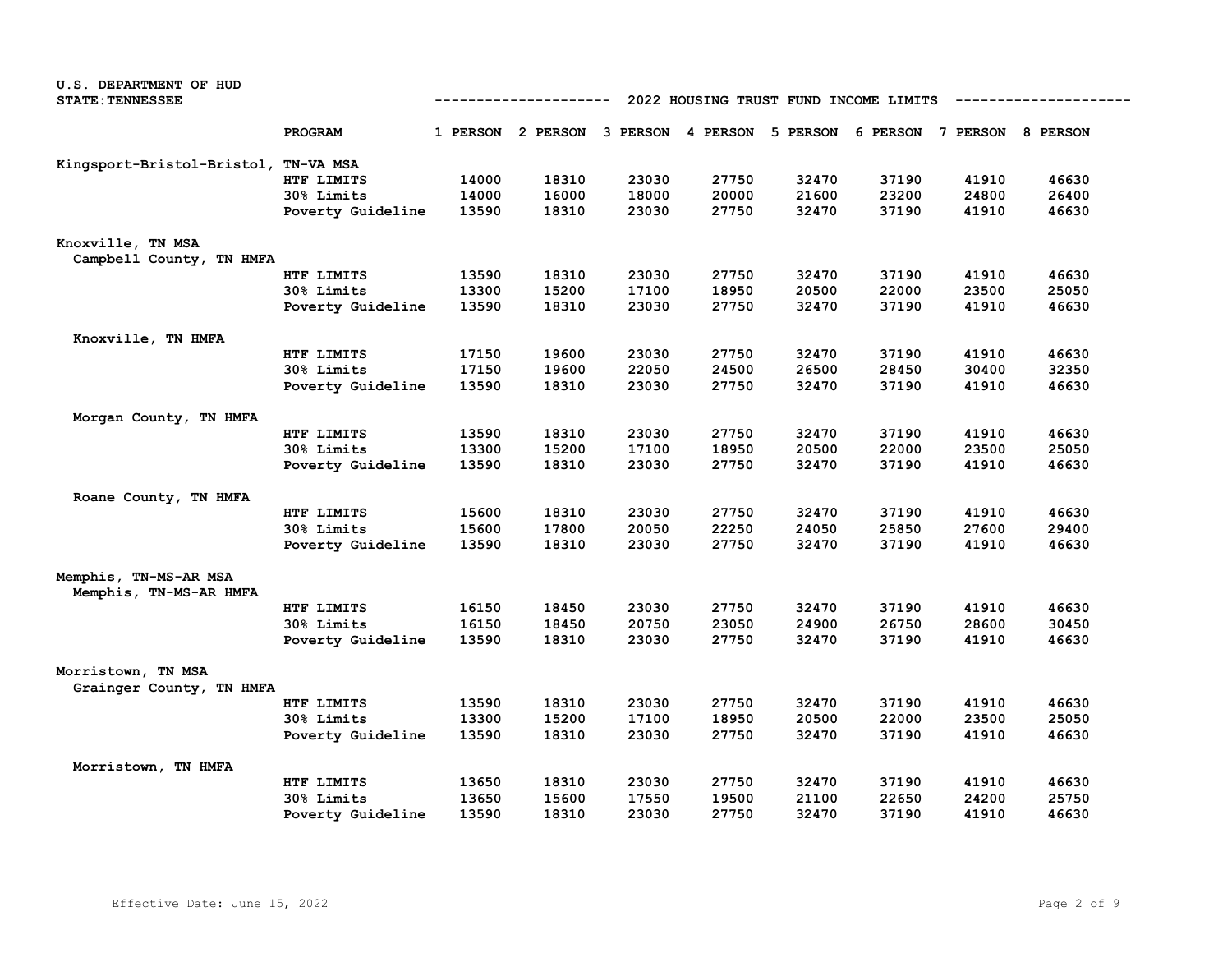| <b>U.S. DEPARTMENT OF HUD</b>                   |                   |       |            |                                     |       |                                       |       |                            |       |
|-------------------------------------------------|-------------------|-------|------------|-------------------------------------|-------|---------------------------------------|-------|----------------------------|-------|
| <b>STATE: TENNESSEE</b>                         |                   |       | ---------- |                                     |       | 2022 HOUSING TRUST FUND INCOME LIMITS |       |                            |       |
|                                                 |                   |       |            |                                     |       |                                       |       |                            |       |
|                                                 | PROGRAM           |       |            | 1 PERSON 2 PERSON 3 PERSON 4 PERSON |       | 5 PERSON                              |       | 6 PERSON 7 PERSON 8 PERSON |       |
| Kingsport-Bristol-Bristol,                      | TN-VA MSA         |       |            |                                     |       |                                       |       |                            |       |
|                                                 | HTF LIMITS        | 14000 | 18310      | 23030                               | 27750 | 32470                                 | 37190 | 41910                      | 46630 |
|                                                 | 30% Limits        | 14000 | 16000      | 18000                               | 20000 | 21600                                 | 23200 | 24800                      | 26400 |
|                                                 | Poverty Guideline | 13590 | 18310      | 23030                               | 27750 | 32470                                 | 37190 | 41910                      | 46630 |
| Knoxville, TN MSA                               |                   |       |            |                                     |       |                                       |       |                            |       |
| Campbell County, TN HMFA                        |                   |       |            |                                     |       |                                       |       |                            |       |
|                                                 | HTF LIMITS        | 13590 | 18310      | 23030                               | 27750 | 32470                                 | 37190 | 41910                      | 46630 |
|                                                 | 30% Limits        | 13300 | 15200      | 17100                               | 18950 | 20500                                 | 22000 | 23500                      | 25050 |
|                                                 | Poverty Guideline | 13590 | 18310      | 23030                               | 27750 | 32470                                 | 37190 | 41910                      | 46630 |
| Knoxville, TN HMFA                              |                   |       |            |                                     |       |                                       |       |                            |       |
|                                                 | HTF LIMITS        | 17150 | 19600      | 23030                               | 27750 | 32470                                 | 37190 | 41910                      | 46630 |
|                                                 | 30% Limits        | 17150 | 19600      | 22050                               | 24500 | 26500                                 | 28450 | 30400                      | 32350 |
|                                                 | Poverty Guideline | 13590 | 18310      | 23030                               | 27750 | 32470                                 | 37190 | 41910                      | 46630 |
| Morgan County, TN HMFA                          |                   |       |            |                                     |       |                                       |       |                            |       |
|                                                 | HTF LIMITS        | 13590 | 18310      | 23030                               | 27750 | 32470                                 | 37190 | 41910                      | 46630 |
|                                                 | 30% Limits        | 13300 | 15200      | 17100                               | 18950 | 20500                                 | 22000 | 23500                      | 25050 |
|                                                 | Poverty Guideline | 13590 | 18310      | 23030                               | 27750 | 32470                                 | 37190 | 41910                      | 46630 |
| Roane County, TN HMFA                           |                   |       |            |                                     |       |                                       |       |                            |       |
|                                                 | HTF LIMITS        | 15600 | 18310      | 23030                               | 27750 | 32470                                 | 37190 | 41910                      | 46630 |
|                                                 | 30% Limits        | 15600 | 17800      | 20050                               | 22250 | 24050                                 | 25850 | 27600                      | 29400 |
|                                                 | Poverty Guideline | 13590 | 18310      | 23030                               | 27750 | 32470                                 | 37190 | 41910                      | 46630 |
| Memphis, TN-MS-AR MSA<br>Memphis, TN-MS-AR HMFA |                   |       |            |                                     |       |                                       |       |                            |       |
|                                                 | HTF LIMITS        | 16150 | 18450      | 23030                               | 27750 | 32470                                 | 37190 | 41910                      | 46630 |
|                                                 | 30% Limits        | 16150 | 18450      | 20750                               | 23050 | 24900                                 | 26750 | 28600                      | 30450 |
|                                                 | Poverty Guideline | 13590 | 18310      | 23030                               | 27750 | 32470                                 | 37190 | 41910                      | 46630 |
| Morristown, TN MSA<br>Grainger County, TN HMFA  |                   |       |            |                                     |       |                                       |       |                            |       |
|                                                 | HTF LIMITS        | 13590 | 18310      | 23030                               | 27750 | 32470                                 | 37190 | 41910                      | 46630 |
|                                                 | 30% Limits        | 13300 | 15200      | 17100                               | 18950 | 20500                                 | 22000 | 23500                      | 25050 |
|                                                 | Poverty Guideline | 13590 | 18310      | 23030                               | 27750 | 32470                                 | 37190 | 41910                      | 46630 |
| Morristown, TN HMFA                             |                   |       |            |                                     |       |                                       |       |                            |       |
|                                                 | HTF LIMITS        | 13650 | 18310      | 23030                               | 27750 | 32470                                 | 37190 | 41910                      | 46630 |
|                                                 | 30% Limits        | 13650 | 15600      | 17550                               | 19500 | 21100                                 | 22650 | 24200                      | 25750 |
|                                                 | Poverty Guideline | 13590 | 18310      | 23030                               | 27750 | 32470                                 | 37190 | 41910                      | 46630 |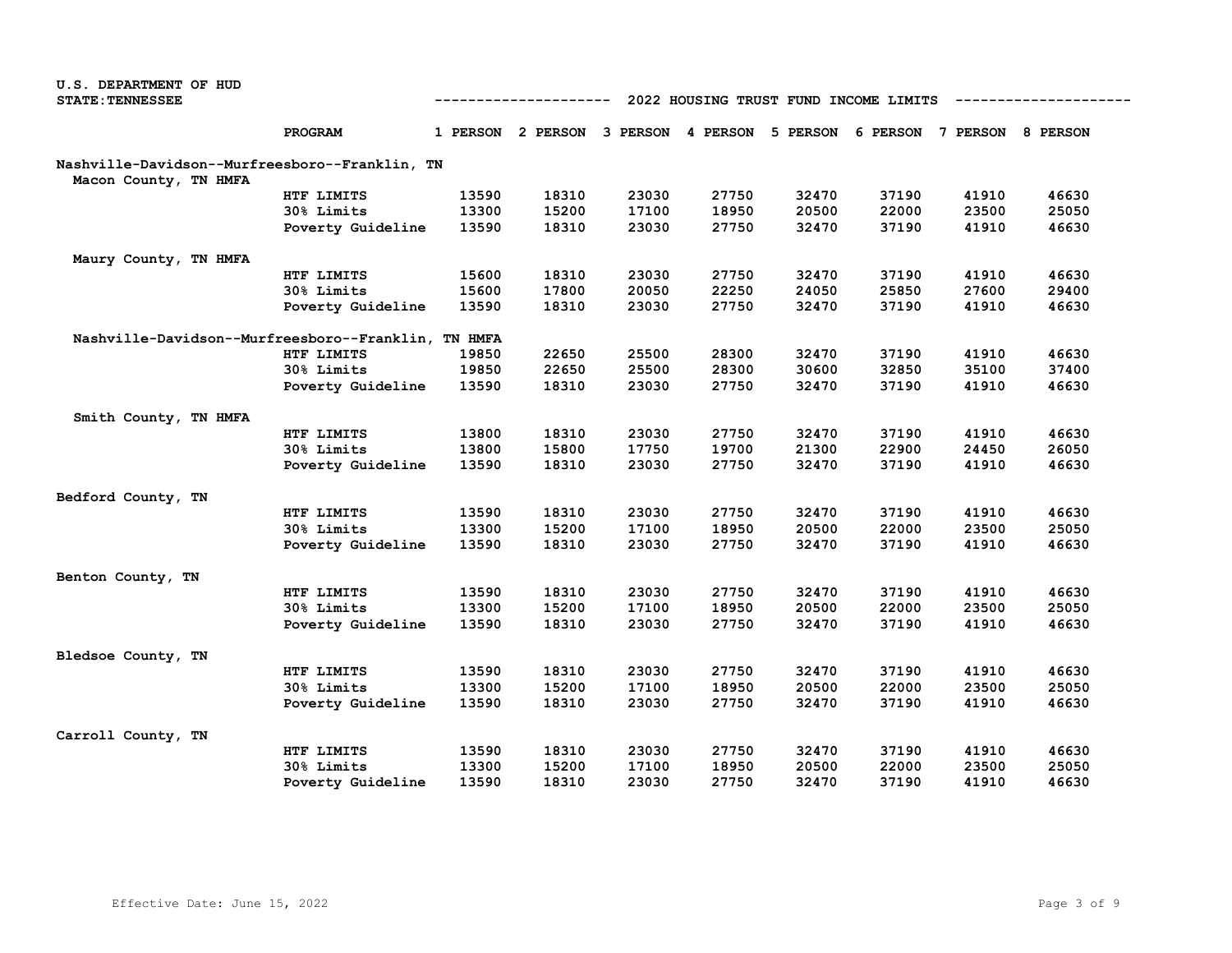| <b>STATE: TENNESSEE</b><br>2022 HOUSING TRUST FUND INCOME LIMITS<br>------------<br>PROGRAM<br>1 PERSON 2 PERSON 3 PERSON 4 PERSON 5 PERSON<br>6 PERSON 7 PERSON 8 PERSON<br>Nashville-Davidson--Murfreesboro--Franklin, TN<br>Macon County, TN HMFA<br>27750<br>32470<br>37190<br>46630<br>HTF LIMITS<br>13590<br>18310<br>23030<br>41910<br>13300<br>15200<br>17100<br>18950<br>20500<br>22000<br>23500<br>25050<br>30% Limits<br>13590<br>18310<br>23030<br>27750<br>32470<br>37190<br>41910<br>46630<br>Poverty Guideline<br>Maury County, TN HMFA<br>15600<br>27750<br>32470<br>37190<br>41910<br>46630<br>HTF LIMITS<br>18310<br>23030<br>30% Limits<br>15600<br>17800<br>20050<br>22250<br>24050<br>25850<br>27600<br>29400<br>18310<br>32470<br>37190<br>41910<br>46630<br>13590<br>23030<br>27750<br>Poverty Guideline<br>Nashville-Davidson--Murfreesboro--Franklin, TN HMFA<br>19850<br>22650<br>25500<br>28300<br>32470<br>37190<br>41910<br>46630<br>HTF LIMITS<br>22650<br>28300<br>30600<br>32850<br>35100<br>37400<br>30% Limits<br>19850<br>25500<br>37190<br>Poverty Guideline<br>13590<br>18310<br>23030<br>27750<br>32470<br>41910<br>46630<br>Smith County, TN HMFA<br>13800<br>18310<br>23030<br>27750<br>32470<br>37190<br>41910<br>46630<br>HTF LIMITS<br>13800<br>15800<br>17750<br>19700<br>21300<br>22900<br>24450<br>26050<br>30% Limits<br>13590<br>18310<br>23030<br>27750<br>32470<br>37190<br>41910<br>46630<br>Poverty Guideline<br>Bedford County, TN<br>37190<br>HTF LIMITS<br>13590<br>18310<br>23030<br>27750<br>32470<br>41910<br>46630<br>30% Limits<br>13300<br>15200<br>17100<br>18950<br>20500<br>22000<br>23500<br>25050<br>13590<br>18310<br>23030<br>27750<br>32470<br>37190<br>41910<br>46630<br>Poverty Guideline<br>Benton County, TN<br>HTF LIMITS<br>13590<br>18310<br>23030<br>27750<br>32470<br>37190<br>41910<br>46630<br>13300<br>15200<br>17100<br>18950<br>20500<br>22000<br>23500<br>25050<br>30% Limits<br>Poverty Guideline<br>13590<br>18310<br>23030<br>27750<br>32470<br>37190<br>41910<br>46630<br>Bledsoe County, TN<br>13590<br>18310<br>23030<br>27750<br>32470<br>37190<br>41910<br>46630<br>HTF LIMITS<br>22000<br>23500<br>30% Limits<br>13300<br>15200<br>17100<br>18950<br>20500<br>25050<br>37190<br>13590<br>18310<br>23030<br>27750<br>32470<br>41910<br>46630<br>Poverty Guideline<br>Carroll County, TN<br>13590<br>18310<br>23030<br>27750<br>32470<br>37190<br>41910<br>46630<br>HTF LIMITS | <b>U.S. DEPARTMENT OF HUD</b> |            |       |       |       |       |       |       |       |       |
|---------------------------------------------------------------------------------------------------------------------------------------------------------------------------------------------------------------------------------------------------------------------------------------------------------------------------------------------------------------------------------------------------------------------------------------------------------------------------------------------------------------------------------------------------------------------------------------------------------------------------------------------------------------------------------------------------------------------------------------------------------------------------------------------------------------------------------------------------------------------------------------------------------------------------------------------------------------------------------------------------------------------------------------------------------------------------------------------------------------------------------------------------------------------------------------------------------------------------------------------------------------------------------------------------------------------------------------------------------------------------------------------------------------------------------------------------------------------------------------------------------------------------------------------------------------------------------------------------------------------------------------------------------------------------------------------------------------------------------------------------------------------------------------------------------------------------------------------------------------------------------------------------------------------------------------------------------------------------------------------------------------------------------------------------------------------------------------------------------------------------------------------------------------------------------------------------------------------------------------------------------------------------------------------------------------------------------------------------------------------------------------------------------------------------------------------------------------------------|-------------------------------|------------|-------|-------|-------|-------|-------|-------|-------|-------|
|                                                                                                                                                                                                                                                                                                                                                                                                                                                                                                                                                                                                                                                                                                                                                                                                                                                                                                                                                                                                                                                                                                                                                                                                                                                                                                                                                                                                                                                                                                                                                                                                                                                                                                                                                                                                                                                                                                                                                                                                                                                                                                                                                                                                                                                                                                                                                                                                                                                                           |                               |            |       |       |       |       |       |       |       |       |
|                                                                                                                                                                                                                                                                                                                                                                                                                                                                                                                                                                                                                                                                                                                                                                                                                                                                                                                                                                                                                                                                                                                                                                                                                                                                                                                                                                                                                                                                                                                                                                                                                                                                                                                                                                                                                                                                                                                                                                                                                                                                                                                                                                                                                                                                                                                                                                                                                                                                           |                               |            |       |       |       |       |       |       |       |       |
|                                                                                                                                                                                                                                                                                                                                                                                                                                                                                                                                                                                                                                                                                                                                                                                                                                                                                                                                                                                                                                                                                                                                                                                                                                                                                                                                                                                                                                                                                                                                                                                                                                                                                                                                                                                                                                                                                                                                                                                                                                                                                                                                                                                                                                                                                                                                                                                                                                                                           |                               |            |       |       |       |       |       |       |       |       |
|                                                                                                                                                                                                                                                                                                                                                                                                                                                                                                                                                                                                                                                                                                                                                                                                                                                                                                                                                                                                                                                                                                                                                                                                                                                                                                                                                                                                                                                                                                                                                                                                                                                                                                                                                                                                                                                                                                                                                                                                                                                                                                                                                                                                                                                                                                                                                                                                                                                                           |                               |            |       |       |       |       |       |       |       |       |
|                                                                                                                                                                                                                                                                                                                                                                                                                                                                                                                                                                                                                                                                                                                                                                                                                                                                                                                                                                                                                                                                                                                                                                                                                                                                                                                                                                                                                                                                                                                                                                                                                                                                                                                                                                                                                                                                                                                                                                                                                                                                                                                                                                                                                                                                                                                                                                                                                                                                           |                               |            |       |       |       |       |       |       |       |       |
|                                                                                                                                                                                                                                                                                                                                                                                                                                                                                                                                                                                                                                                                                                                                                                                                                                                                                                                                                                                                                                                                                                                                                                                                                                                                                                                                                                                                                                                                                                                                                                                                                                                                                                                                                                                                                                                                                                                                                                                                                                                                                                                                                                                                                                                                                                                                                                                                                                                                           |                               |            |       |       |       |       |       |       |       |       |
|                                                                                                                                                                                                                                                                                                                                                                                                                                                                                                                                                                                                                                                                                                                                                                                                                                                                                                                                                                                                                                                                                                                                                                                                                                                                                                                                                                                                                                                                                                                                                                                                                                                                                                                                                                                                                                                                                                                                                                                                                                                                                                                                                                                                                                                                                                                                                                                                                                                                           |                               |            |       |       |       |       |       |       |       |       |
|                                                                                                                                                                                                                                                                                                                                                                                                                                                                                                                                                                                                                                                                                                                                                                                                                                                                                                                                                                                                                                                                                                                                                                                                                                                                                                                                                                                                                                                                                                                                                                                                                                                                                                                                                                                                                                                                                                                                                                                                                                                                                                                                                                                                                                                                                                                                                                                                                                                                           |                               |            |       |       |       |       |       |       |       |       |
|                                                                                                                                                                                                                                                                                                                                                                                                                                                                                                                                                                                                                                                                                                                                                                                                                                                                                                                                                                                                                                                                                                                                                                                                                                                                                                                                                                                                                                                                                                                                                                                                                                                                                                                                                                                                                                                                                                                                                                                                                                                                                                                                                                                                                                                                                                                                                                                                                                                                           |                               |            |       |       |       |       |       |       |       |       |
|                                                                                                                                                                                                                                                                                                                                                                                                                                                                                                                                                                                                                                                                                                                                                                                                                                                                                                                                                                                                                                                                                                                                                                                                                                                                                                                                                                                                                                                                                                                                                                                                                                                                                                                                                                                                                                                                                                                                                                                                                                                                                                                                                                                                                                                                                                                                                                                                                                                                           |                               |            |       |       |       |       |       |       |       |       |
|                                                                                                                                                                                                                                                                                                                                                                                                                                                                                                                                                                                                                                                                                                                                                                                                                                                                                                                                                                                                                                                                                                                                                                                                                                                                                                                                                                                                                                                                                                                                                                                                                                                                                                                                                                                                                                                                                                                                                                                                                                                                                                                                                                                                                                                                                                                                                                                                                                                                           |                               |            |       |       |       |       |       |       |       |       |
|                                                                                                                                                                                                                                                                                                                                                                                                                                                                                                                                                                                                                                                                                                                                                                                                                                                                                                                                                                                                                                                                                                                                                                                                                                                                                                                                                                                                                                                                                                                                                                                                                                                                                                                                                                                                                                                                                                                                                                                                                                                                                                                                                                                                                                                                                                                                                                                                                                                                           |                               |            |       |       |       |       |       |       |       |       |
|                                                                                                                                                                                                                                                                                                                                                                                                                                                                                                                                                                                                                                                                                                                                                                                                                                                                                                                                                                                                                                                                                                                                                                                                                                                                                                                                                                                                                                                                                                                                                                                                                                                                                                                                                                                                                                                                                                                                                                                                                                                                                                                                                                                                                                                                                                                                                                                                                                                                           |                               |            |       |       |       |       |       |       |       |       |
|                                                                                                                                                                                                                                                                                                                                                                                                                                                                                                                                                                                                                                                                                                                                                                                                                                                                                                                                                                                                                                                                                                                                                                                                                                                                                                                                                                                                                                                                                                                                                                                                                                                                                                                                                                                                                                                                                                                                                                                                                                                                                                                                                                                                                                                                                                                                                                                                                                                                           |                               |            |       |       |       |       |       |       |       |       |
|                                                                                                                                                                                                                                                                                                                                                                                                                                                                                                                                                                                                                                                                                                                                                                                                                                                                                                                                                                                                                                                                                                                                                                                                                                                                                                                                                                                                                                                                                                                                                                                                                                                                                                                                                                                                                                                                                                                                                                                                                                                                                                                                                                                                                                                                                                                                                                                                                                                                           |                               |            |       |       |       |       |       |       |       |       |
|                                                                                                                                                                                                                                                                                                                                                                                                                                                                                                                                                                                                                                                                                                                                                                                                                                                                                                                                                                                                                                                                                                                                                                                                                                                                                                                                                                                                                                                                                                                                                                                                                                                                                                                                                                                                                                                                                                                                                                                                                                                                                                                                                                                                                                                                                                                                                                                                                                                                           |                               |            |       |       |       |       |       |       |       |       |
|                                                                                                                                                                                                                                                                                                                                                                                                                                                                                                                                                                                                                                                                                                                                                                                                                                                                                                                                                                                                                                                                                                                                                                                                                                                                                                                                                                                                                                                                                                                                                                                                                                                                                                                                                                                                                                                                                                                                                                                                                                                                                                                                                                                                                                                                                                                                                                                                                                                                           |                               |            |       |       |       |       |       |       |       |       |
|                                                                                                                                                                                                                                                                                                                                                                                                                                                                                                                                                                                                                                                                                                                                                                                                                                                                                                                                                                                                                                                                                                                                                                                                                                                                                                                                                                                                                                                                                                                                                                                                                                                                                                                                                                                                                                                                                                                                                                                                                                                                                                                                                                                                                                                                                                                                                                                                                                                                           |                               |            |       |       |       |       |       |       |       |       |
|                                                                                                                                                                                                                                                                                                                                                                                                                                                                                                                                                                                                                                                                                                                                                                                                                                                                                                                                                                                                                                                                                                                                                                                                                                                                                                                                                                                                                                                                                                                                                                                                                                                                                                                                                                                                                                                                                                                                                                                                                                                                                                                                                                                                                                                                                                                                                                                                                                                                           |                               |            |       |       |       |       |       |       |       |       |
|                                                                                                                                                                                                                                                                                                                                                                                                                                                                                                                                                                                                                                                                                                                                                                                                                                                                                                                                                                                                                                                                                                                                                                                                                                                                                                                                                                                                                                                                                                                                                                                                                                                                                                                                                                                                                                                                                                                                                                                                                                                                                                                                                                                                                                                                                                                                                                                                                                                                           |                               |            |       |       |       |       |       |       |       |       |
|                                                                                                                                                                                                                                                                                                                                                                                                                                                                                                                                                                                                                                                                                                                                                                                                                                                                                                                                                                                                                                                                                                                                                                                                                                                                                                                                                                                                                                                                                                                                                                                                                                                                                                                                                                                                                                                                                                                                                                                                                                                                                                                                                                                                                                                                                                                                                                                                                                                                           |                               |            |       |       |       |       |       |       |       |       |
|                                                                                                                                                                                                                                                                                                                                                                                                                                                                                                                                                                                                                                                                                                                                                                                                                                                                                                                                                                                                                                                                                                                                                                                                                                                                                                                                                                                                                                                                                                                                                                                                                                                                                                                                                                                                                                                                                                                                                                                                                                                                                                                                                                                                                                                                                                                                                                                                                                                                           |                               |            |       |       |       |       |       |       |       |       |
|                                                                                                                                                                                                                                                                                                                                                                                                                                                                                                                                                                                                                                                                                                                                                                                                                                                                                                                                                                                                                                                                                                                                                                                                                                                                                                                                                                                                                                                                                                                                                                                                                                                                                                                                                                                                                                                                                                                                                                                                                                                                                                                                                                                                                                                                                                                                                                                                                                                                           |                               |            |       |       |       |       |       |       |       |       |
|                                                                                                                                                                                                                                                                                                                                                                                                                                                                                                                                                                                                                                                                                                                                                                                                                                                                                                                                                                                                                                                                                                                                                                                                                                                                                                                                                                                                                                                                                                                                                                                                                                                                                                                                                                                                                                                                                                                                                                                                                                                                                                                                                                                                                                                                                                                                                                                                                                                                           |                               |            |       |       |       |       |       |       |       |       |
|                                                                                                                                                                                                                                                                                                                                                                                                                                                                                                                                                                                                                                                                                                                                                                                                                                                                                                                                                                                                                                                                                                                                                                                                                                                                                                                                                                                                                                                                                                                                                                                                                                                                                                                                                                                                                                                                                                                                                                                                                                                                                                                                                                                                                                                                                                                                                                                                                                                                           |                               |            |       |       |       |       |       |       |       |       |
|                                                                                                                                                                                                                                                                                                                                                                                                                                                                                                                                                                                                                                                                                                                                                                                                                                                                                                                                                                                                                                                                                                                                                                                                                                                                                                                                                                                                                                                                                                                                                                                                                                                                                                                                                                                                                                                                                                                                                                                                                                                                                                                                                                                                                                                                                                                                                                                                                                                                           |                               |            |       |       |       |       |       |       |       |       |
|                                                                                                                                                                                                                                                                                                                                                                                                                                                                                                                                                                                                                                                                                                                                                                                                                                                                                                                                                                                                                                                                                                                                                                                                                                                                                                                                                                                                                                                                                                                                                                                                                                                                                                                                                                                                                                                                                                                                                                                                                                                                                                                                                                                                                                                                                                                                                                                                                                                                           |                               |            |       |       |       |       |       |       |       |       |
|                                                                                                                                                                                                                                                                                                                                                                                                                                                                                                                                                                                                                                                                                                                                                                                                                                                                                                                                                                                                                                                                                                                                                                                                                                                                                                                                                                                                                                                                                                                                                                                                                                                                                                                                                                                                                                                                                                                                                                                                                                                                                                                                                                                                                                                                                                                                                                                                                                                                           |                               |            |       |       |       |       |       |       |       |       |
|                                                                                                                                                                                                                                                                                                                                                                                                                                                                                                                                                                                                                                                                                                                                                                                                                                                                                                                                                                                                                                                                                                                                                                                                                                                                                                                                                                                                                                                                                                                                                                                                                                                                                                                                                                                                                                                                                                                                                                                                                                                                                                                                                                                                                                                                                                                                                                                                                                                                           |                               |            |       |       |       |       |       |       |       |       |
|                                                                                                                                                                                                                                                                                                                                                                                                                                                                                                                                                                                                                                                                                                                                                                                                                                                                                                                                                                                                                                                                                                                                                                                                                                                                                                                                                                                                                                                                                                                                                                                                                                                                                                                                                                                                                                                                                                                                                                                                                                                                                                                                                                                                                                                                                                                                                                                                                                                                           |                               |            |       |       |       |       |       |       |       |       |
|                                                                                                                                                                                                                                                                                                                                                                                                                                                                                                                                                                                                                                                                                                                                                                                                                                                                                                                                                                                                                                                                                                                                                                                                                                                                                                                                                                                                                                                                                                                                                                                                                                                                                                                                                                                                                                                                                                                                                                                                                                                                                                                                                                                                                                                                                                                                                                                                                                                                           |                               |            |       |       |       |       |       |       |       |       |
|                                                                                                                                                                                                                                                                                                                                                                                                                                                                                                                                                                                                                                                                                                                                                                                                                                                                                                                                                                                                                                                                                                                                                                                                                                                                                                                                                                                                                                                                                                                                                                                                                                                                                                                                                                                                                                                                                                                                                                                                                                                                                                                                                                                                                                                                                                                                                                                                                                                                           |                               |            |       |       |       |       |       |       |       |       |
|                                                                                                                                                                                                                                                                                                                                                                                                                                                                                                                                                                                                                                                                                                                                                                                                                                                                                                                                                                                                                                                                                                                                                                                                                                                                                                                                                                                                                                                                                                                                                                                                                                                                                                                                                                                                                                                                                                                                                                                                                                                                                                                                                                                                                                                                                                                                                                                                                                                                           |                               |            |       |       |       |       |       |       |       |       |
|                                                                                                                                                                                                                                                                                                                                                                                                                                                                                                                                                                                                                                                                                                                                                                                                                                                                                                                                                                                                                                                                                                                                                                                                                                                                                                                                                                                                                                                                                                                                                                                                                                                                                                                                                                                                                                                                                                                                                                                                                                                                                                                                                                                                                                                                                                                                                                                                                                                                           |                               | 30% Limits | 13300 | 15200 | 17100 | 18950 | 20500 | 22000 | 23500 | 25050 |
| 13590<br>18310<br>23030<br>27750<br>32470<br>37190<br>41910<br>46630<br>Poverty Guideline                                                                                                                                                                                                                                                                                                                                                                                                                                                                                                                                                                                                                                                                                                                                                                                                                                                                                                                                                                                                                                                                                                                                                                                                                                                                                                                                                                                                                                                                                                                                                                                                                                                                                                                                                                                                                                                                                                                                                                                                                                                                                                                                                                                                                                                                                                                                                                                 |                               |            |       |       |       |       |       |       |       |       |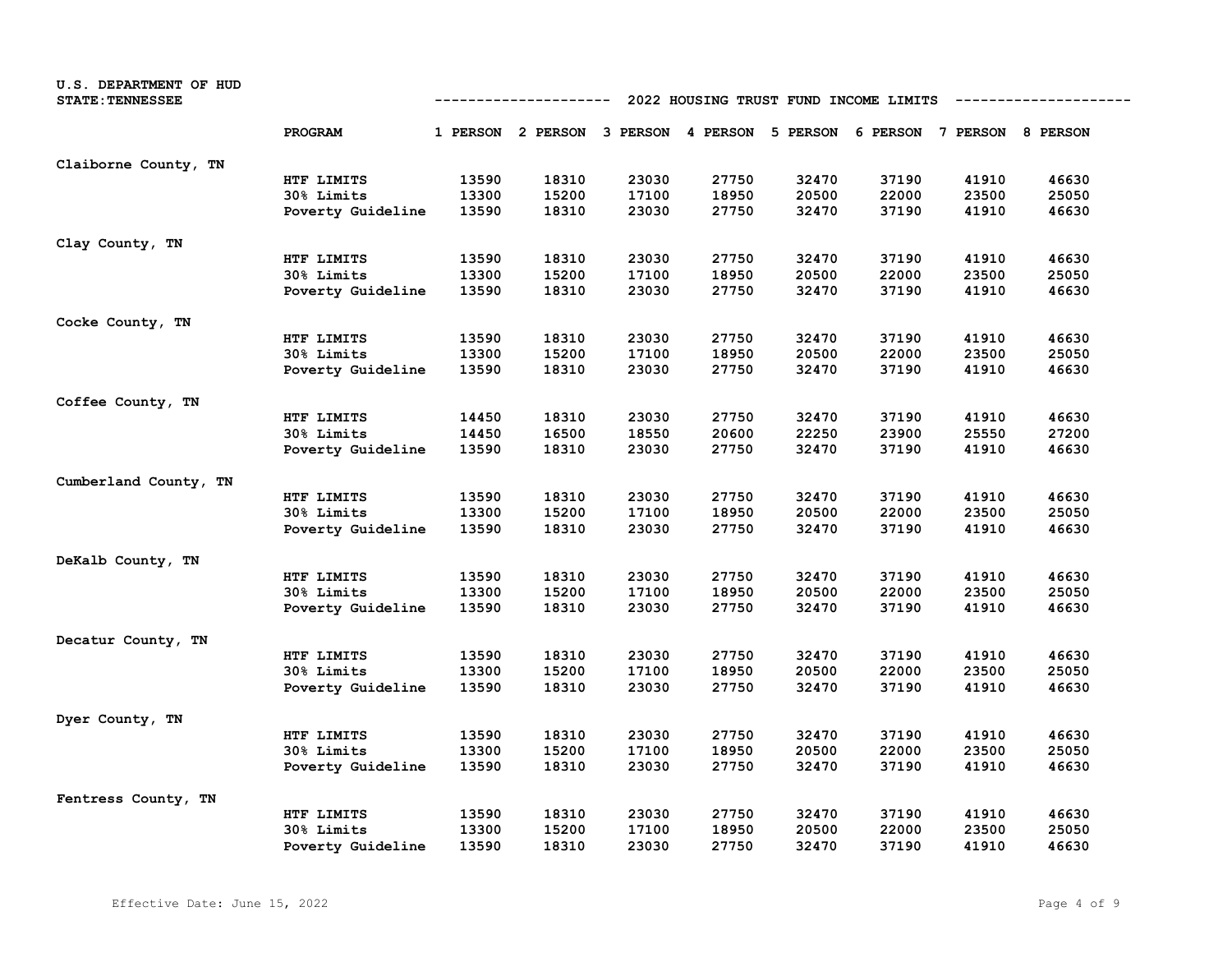| U.S. DEPARTMENT OF HUD<br><b>STATE: TENNESSEE</b> | 2022 HOUSING TRUST FUND INCOME LIMITS<br>----------- |       |                                                                         |       |       |       |       |       |       |  |
|---------------------------------------------------|------------------------------------------------------|-------|-------------------------------------------------------------------------|-------|-------|-------|-------|-------|-------|--|
|                                                   | PROGRAM                                              |       | 1 PERSON 2 PERSON 3 PERSON 4 PERSON 5 PERSON 6 PERSON 7 PERSON 8 PERSON |       |       |       |       |       |       |  |
| Claiborne County, TN                              |                                                      |       |                                                                         |       |       |       |       |       |       |  |
|                                                   | HTF LIMITS                                           | 13590 | 18310                                                                   | 23030 | 27750 | 32470 | 37190 | 41910 | 46630 |  |
|                                                   | 30% Limits                                           | 13300 | 15200                                                                   | 17100 | 18950 | 20500 | 22000 | 23500 | 25050 |  |
|                                                   | Poverty Guideline                                    | 13590 | 18310                                                                   | 23030 | 27750 | 32470 | 37190 | 41910 | 46630 |  |
| Clay County, TN                                   |                                                      |       |                                                                         |       |       |       |       |       |       |  |
|                                                   | HTF LIMITS                                           | 13590 | 18310                                                                   | 23030 | 27750 | 32470 | 37190 | 41910 | 46630 |  |
|                                                   | 30% Limits                                           | 13300 | 15200                                                                   | 17100 | 18950 | 20500 | 22000 | 23500 | 25050 |  |
|                                                   | Poverty Guideline                                    | 13590 | 18310                                                                   | 23030 | 27750 | 32470 | 37190 | 41910 | 46630 |  |
| Cocke County, TN                                  |                                                      |       |                                                                         |       |       |       |       |       |       |  |
|                                                   | HTF LIMITS                                           | 13590 | 18310                                                                   | 23030 | 27750 | 32470 | 37190 | 41910 | 46630 |  |
|                                                   | 30% Limits                                           | 13300 | 15200                                                                   | 17100 | 18950 | 20500 | 22000 | 23500 | 25050 |  |
|                                                   | Poverty Guideline                                    | 13590 | 18310                                                                   | 23030 | 27750 | 32470 | 37190 | 41910 | 46630 |  |
| Coffee County, TN                                 |                                                      |       |                                                                         |       |       |       |       |       |       |  |
|                                                   | HTF LIMITS                                           | 14450 | 18310                                                                   | 23030 | 27750 | 32470 | 37190 | 41910 | 46630 |  |
|                                                   | 30% Limits                                           | 14450 | 16500                                                                   | 18550 | 20600 | 22250 | 23900 | 25550 | 27200 |  |
|                                                   | Poverty Guideline                                    | 13590 | 18310                                                                   | 23030 | 27750 | 32470 | 37190 | 41910 | 46630 |  |
| Cumberland County, TN                             |                                                      |       |                                                                         |       |       |       |       |       |       |  |
|                                                   | HTF LIMITS                                           | 13590 | 18310                                                                   | 23030 | 27750 | 32470 | 37190 | 41910 | 46630 |  |
|                                                   | 30% Limits                                           | 13300 | 15200                                                                   | 17100 | 18950 | 20500 | 22000 | 23500 | 25050 |  |
|                                                   | Poverty Guideline                                    | 13590 | 18310                                                                   | 23030 | 27750 | 32470 | 37190 | 41910 | 46630 |  |
| DeKalb County, TN                                 |                                                      |       |                                                                         |       |       |       |       |       |       |  |
|                                                   | HTF LIMITS                                           | 13590 | 18310                                                                   | 23030 | 27750 | 32470 | 37190 | 41910 | 46630 |  |
|                                                   | 30% Limits                                           | 13300 | 15200                                                                   | 17100 | 18950 | 20500 | 22000 | 23500 | 25050 |  |
|                                                   | Poverty Guideline                                    | 13590 | 18310                                                                   | 23030 | 27750 | 32470 | 37190 | 41910 | 46630 |  |
| Decatur County, TN                                |                                                      |       |                                                                         |       |       |       |       |       |       |  |
|                                                   | HTF LIMITS                                           | 13590 | 18310                                                                   | 23030 | 27750 | 32470 | 37190 | 41910 | 46630 |  |
|                                                   | 30% Limits                                           | 13300 | 15200                                                                   | 17100 | 18950 | 20500 | 22000 | 23500 | 25050 |  |
|                                                   | Poverty Guideline                                    | 13590 | 18310                                                                   | 23030 | 27750 | 32470 | 37190 | 41910 | 46630 |  |
| Dyer County, TN                                   |                                                      |       |                                                                         |       |       |       |       |       |       |  |
|                                                   | HTF LIMITS                                           | 13590 | 18310                                                                   | 23030 | 27750 | 32470 | 37190 | 41910 | 46630 |  |
|                                                   | 30% Limits                                           | 13300 | 15200                                                                   | 17100 | 18950 | 20500 | 22000 | 23500 | 25050 |  |
|                                                   | Poverty Guideline                                    | 13590 | 18310                                                                   | 23030 | 27750 | 32470 | 37190 | 41910 | 46630 |  |
| Fentress County, TN                               |                                                      |       |                                                                         |       |       |       |       |       |       |  |
|                                                   | HTF LIMITS                                           | 13590 | 18310                                                                   | 23030 | 27750 | 32470 | 37190 | 41910 | 46630 |  |
|                                                   | 30% Limits                                           | 13300 | 15200                                                                   | 17100 | 18950 | 20500 | 22000 | 23500 | 25050 |  |
|                                                   | Poverty Guideline                                    | 13590 | 18310                                                                   | 23030 | 27750 | 32470 | 37190 | 41910 | 46630 |  |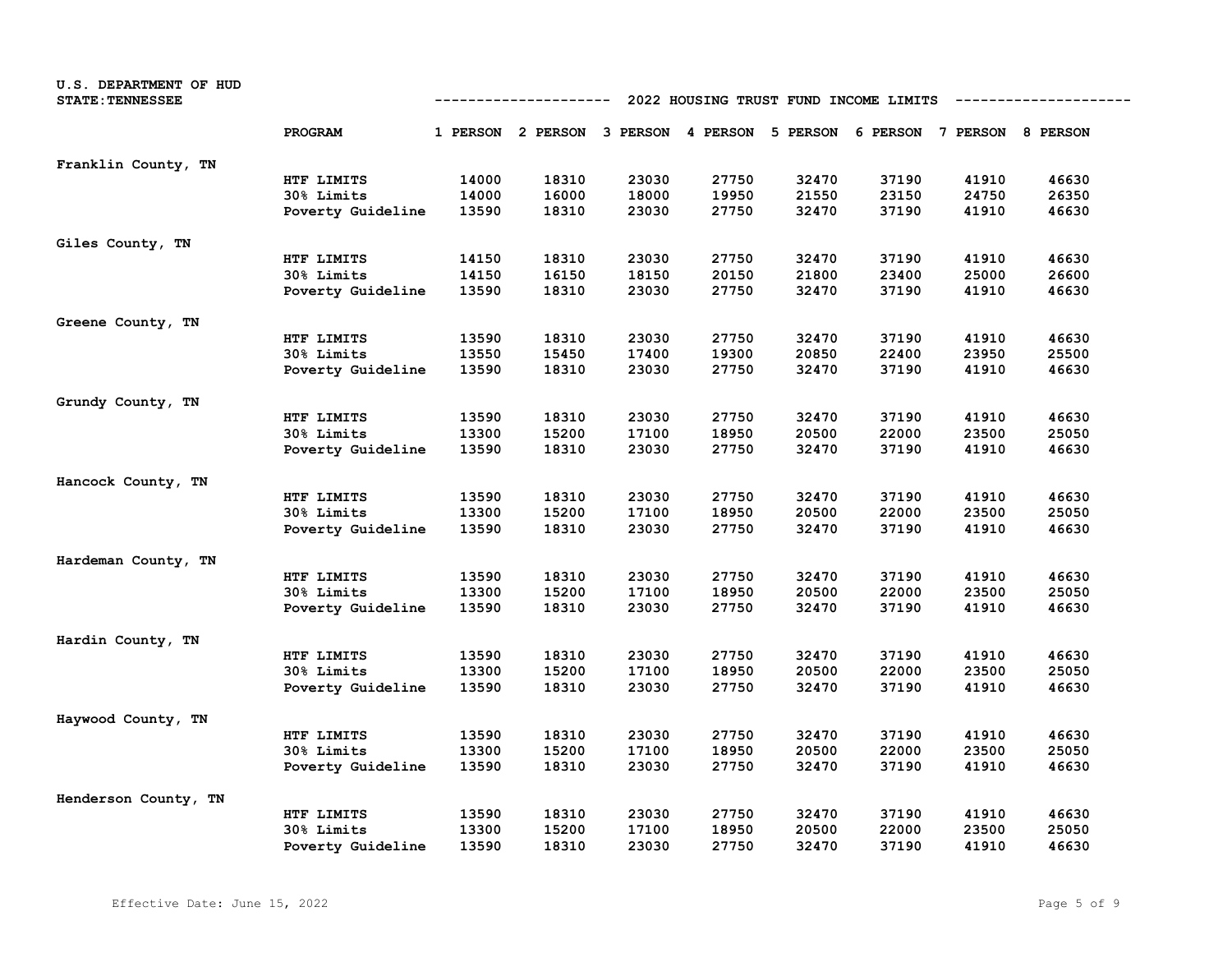| U.S. DEPARTMENT OF HUD<br><b>STATE: TENNESSEE</b> | 2022 HOUSING TRUST FUND INCOME LIMITS<br>----------- |       |                                                                         |       |       |       |       |       |       |
|---------------------------------------------------|------------------------------------------------------|-------|-------------------------------------------------------------------------|-------|-------|-------|-------|-------|-------|
|                                                   | PROGRAM                                              |       | 1 PERSON 2 PERSON 3 PERSON 4 PERSON 5 PERSON 6 PERSON 7 PERSON 8 PERSON |       |       |       |       |       |       |
| Franklin County, TN                               |                                                      |       |                                                                         |       |       |       |       |       |       |
|                                                   | HTF LIMITS                                           | 14000 | 18310                                                                   | 23030 | 27750 | 32470 | 37190 | 41910 | 46630 |
|                                                   | 30% Limits                                           | 14000 | 16000                                                                   | 18000 | 19950 | 21550 | 23150 | 24750 | 26350 |
|                                                   | Poverty Guideline                                    | 13590 | 18310                                                                   | 23030 | 27750 | 32470 | 37190 | 41910 | 46630 |
| Giles County, TN                                  |                                                      |       |                                                                         |       |       |       |       |       |       |
|                                                   | HTF LIMITS                                           | 14150 | 18310                                                                   | 23030 | 27750 | 32470 | 37190 | 41910 | 46630 |
|                                                   | 30% Limits                                           | 14150 | 16150                                                                   | 18150 | 20150 | 21800 | 23400 | 25000 | 26600 |
|                                                   | Poverty Guideline                                    | 13590 | 18310                                                                   | 23030 | 27750 | 32470 | 37190 | 41910 | 46630 |
| Greene County, TN                                 |                                                      |       |                                                                         |       |       |       |       |       |       |
|                                                   | HTF LIMITS                                           | 13590 | 18310                                                                   | 23030 | 27750 | 32470 | 37190 | 41910 | 46630 |
|                                                   | 30% Limits                                           | 13550 | 15450                                                                   | 17400 | 19300 | 20850 | 22400 | 23950 | 25500 |
|                                                   | Poverty Guideline                                    | 13590 | 18310                                                                   | 23030 | 27750 | 32470 | 37190 | 41910 | 46630 |
| Grundy County, TN                                 |                                                      |       |                                                                         |       |       |       |       |       |       |
|                                                   | HTF LIMITS                                           | 13590 | 18310                                                                   | 23030 | 27750 | 32470 | 37190 | 41910 | 46630 |
|                                                   | 30% Limits                                           | 13300 | 15200                                                                   | 17100 | 18950 | 20500 | 22000 | 23500 | 25050 |
|                                                   | Poverty Guideline                                    | 13590 | 18310                                                                   | 23030 | 27750 | 32470 | 37190 | 41910 | 46630 |
| Hancock County, TN                                |                                                      |       |                                                                         |       |       |       |       |       |       |
|                                                   | HTF LIMITS                                           | 13590 | 18310                                                                   | 23030 | 27750 | 32470 | 37190 | 41910 | 46630 |
|                                                   | 30% Limits                                           | 13300 | 15200                                                                   | 17100 | 18950 | 20500 | 22000 | 23500 | 25050 |
|                                                   | Poverty Guideline                                    | 13590 | 18310                                                                   | 23030 | 27750 | 32470 | 37190 | 41910 | 46630 |
| Hardeman County, TN                               |                                                      |       |                                                                         |       |       |       |       |       |       |
|                                                   | HTF LIMITS                                           | 13590 | 18310                                                                   | 23030 | 27750 | 32470 | 37190 | 41910 | 46630 |
|                                                   | 30% Limits                                           | 13300 | 15200                                                                   | 17100 | 18950 | 20500 | 22000 | 23500 | 25050 |
|                                                   | Poverty Guideline                                    | 13590 | 18310                                                                   | 23030 | 27750 | 32470 | 37190 | 41910 | 46630 |
| Hardin County, TN                                 |                                                      |       |                                                                         |       |       |       |       |       |       |
|                                                   | HTF LIMITS                                           | 13590 | 18310                                                                   | 23030 | 27750 | 32470 | 37190 | 41910 | 46630 |
|                                                   | 30% Limits                                           | 13300 | 15200                                                                   | 17100 | 18950 | 20500 | 22000 | 23500 | 25050 |
|                                                   | Poverty Guideline                                    | 13590 | 18310                                                                   | 23030 | 27750 | 32470 | 37190 | 41910 | 46630 |
| Haywood County, TN                                |                                                      |       |                                                                         |       |       |       |       |       |       |
|                                                   | HTF LIMITS                                           | 13590 | 18310                                                                   | 23030 | 27750 | 32470 | 37190 | 41910 | 46630 |
|                                                   | 30% Limits                                           | 13300 | 15200                                                                   | 17100 | 18950 | 20500 | 22000 | 23500 | 25050 |
|                                                   | Poverty Guideline                                    | 13590 | 18310                                                                   | 23030 | 27750 | 32470 | 37190 | 41910 | 46630 |
| Henderson County, TN                              |                                                      |       |                                                                         |       |       |       |       |       |       |
|                                                   | HTF LIMITS                                           | 13590 | 18310                                                                   | 23030 | 27750 | 32470 | 37190 | 41910 | 46630 |
|                                                   | 30% Limits                                           | 13300 | 15200                                                                   | 17100 | 18950 | 20500 | 22000 | 23500 | 25050 |
|                                                   | Poverty Guideline                                    | 13590 | 18310                                                                   | 23030 | 27750 | 32470 | 37190 | 41910 | 46630 |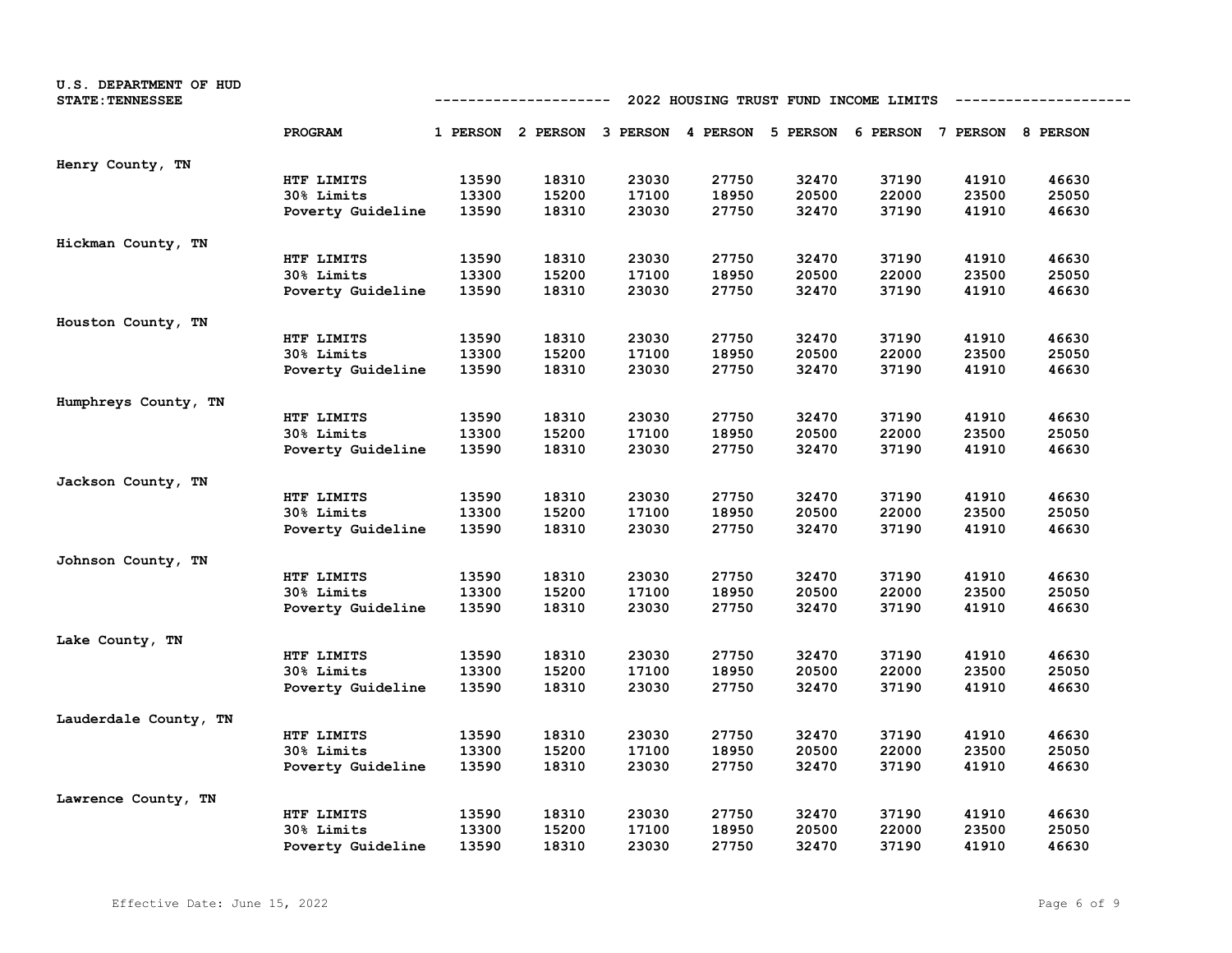| U.S. DEPARTMENT OF HUD<br><b>STATE: TENNESSEE</b> | 2022 HOUSING TRUST FUND INCOME LIMITS<br>----------- |       |                                                                         |       |       |       |       |       |       |  |
|---------------------------------------------------|------------------------------------------------------|-------|-------------------------------------------------------------------------|-------|-------|-------|-------|-------|-------|--|
|                                                   | PROGRAM                                              |       | 1 PERSON 2 PERSON 3 PERSON 4 PERSON 5 PERSON 6 PERSON 7 PERSON 8 PERSON |       |       |       |       |       |       |  |
| Henry County, TN                                  |                                                      |       |                                                                         |       |       |       |       |       |       |  |
|                                                   | HTF LIMITS                                           | 13590 | 18310                                                                   | 23030 | 27750 | 32470 | 37190 | 41910 | 46630 |  |
|                                                   | 30% Limits                                           | 13300 | 15200                                                                   | 17100 | 18950 | 20500 | 22000 | 23500 | 25050 |  |
|                                                   | Poverty Guideline                                    | 13590 | 18310                                                                   | 23030 | 27750 | 32470 | 37190 | 41910 | 46630 |  |
| Hickman County, TN                                |                                                      |       |                                                                         |       |       |       |       |       |       |  |
|                                                   | HTF LIMITS                                           | 13590 | 18310                                                                   | 23030 | 27750 | 32470 | 37190 | 41910 | 46630 |  |
|                                                   | 30% Limits                                           | 13300 | 15200                                                                   | 17100 | 18950 | 20500 | 22000 | 23500 | 25050 |  |
|                                                   | Poverty Guideline                                    | 13590 | 18310                                                                   | 23030 | 27750 | 32470 | 37190 | 41910 | 46630 |  |
| Houston County, TN                                |                                                      |       |                                                                         |       |       |       |       |       |       |  |
|                                                   | HTF LIMITS                                           | 13590 | 18310                                                                   | 23030 | 27750 | 32470 | 37190 | 41910 | 46630 |  |
|                                                   | <b>30% Limits</b>                                    | 13300 | 15200                                                                   | 17100 | 18950 | 20500 | 22000 | 23500 | 25050 |  |
|                                                   | Poverty Guideline                                    | 13590 | 18310                                                                   | 23030 | 27750 | 32470 | 37190 | 41910 | 46630 |  |
| Humphreys County, TN                              |                                                      |       |                                                                         |       |       |       |       |       |       |  |
|                                                   | HTF LIMITS                                           | 13590 | 18310                                                                   | 23030 | 27750 | 32470 | 37190 | 41910 | 46630 |  |
|                                                   | 30% Limits                                           | 13300 | 15200                                                                   | 17100 | 18950 | 20500 | 22000 | 23500 | 25050 |  |
|                                                   | Poverty Guideline                                    | 13590 | 18310                                                                   | 23030 | 27750 | 32470 | 37190 | 41910 | 46630 |  |
| Jackson County, TN                                |                                                      |       |                                                                         |       |       |       |       |       |       |  |
|                                                   | HTF LIMITS                                           | 13590 | 18310                                                                   | 23030 | 27750 | 32470 | 37190 | 41910 | 46630 |  |
|                                                   | 30% Limits                                           | 13300 | 15200                                                                   | 17100 | 18950 | 20500 | 22000 | 23500 | 25050 |  |
|                                                   | Poverty Guideline                                    | 13590 | 18310                                                                   | 23030 | 27750 | 32470 | 37190 | 41910 | 46630 |  |
| Johnson County, TN                                |                                                      |       |                                                                         |       |       |       |       |       |       |  |
|                                                   | HTF LIMITS                                           | 13590 | 18310                                                                   | 23030 | 27750 | 32470 | 37190 | 41910 | 46630 |  |
|                                                   | <b>30% Limits</b>                                    | 13300 | 15200                                                                   | 17100 | 18950 | 20500 | 22000 | 23500 | 25050 |  |
|                                                   | Poverty Guideline                                    | 13590 | 18310                                                                   | 23030 | 27750 | 32470 | 37190 | 41910 | 46630 |  |
| Lake County, TN                                   |                                                      |       |                                                                         |       |       |       |       |       |       |  |
|                                                   | HTF LIMITS                                           | 13590 | 18310                                                                   | 23030 | 27750 | 32470 | 37190 | 41910 | 46630 |  |
|                                                   | 30% Limits                                           | 13300 | 15200                                                                   | 17100 | 18950 | 20500 | 22000 | 23500 | 25050 |  |
|                                                   | Poverty Guideline                                    | 13590 | 18310                                                                   | 23030 | 27750 | 32470 | 37190 | 41910 | 46630 |  |
| Lauderdale County, TN                             |                                                      |       |                                                                         |       |       |       |       |       |       |  |
|                                                   | HTF LIMITS                                           | 13590 | 18310                                                                   | 23030 | 27750 | 32470 | 37190 | 41910 | 46630 |  |
|                                                   | 30% Limits                                           | 13300 | 15200                                                                   | 17100 | 18950 | 20500 | 22000 | 23500 | 25050 |  |
|                                                   | Poverty Guideline                                    | 13590 | 18310                                                                   | 23030 | 27750 | 32470 | 37190 | 41910 | 46630 |  |
| Lawrence County, TN                               |                                                      |       |                                                                         |       |       |       |       |       |       |  |
|                                                   | HTF LIMITS                                           | 13590 | 18310                                                                   | 23030 | 27750 | 32470 | 37190 | 41910 | 46630 |  |
|                                                   | <b>30% Limits</b>                                    | 13300 | 15200                                                                   | 17100 | 18950 | 20500 | 22000 | 23500 | 25050 |  |
|                                                   | Poverty Guideline                                    | 13590 | 18310                                                                   | 23030 | 27750 | 32470 | 37190 | 41910 | 46630 |  |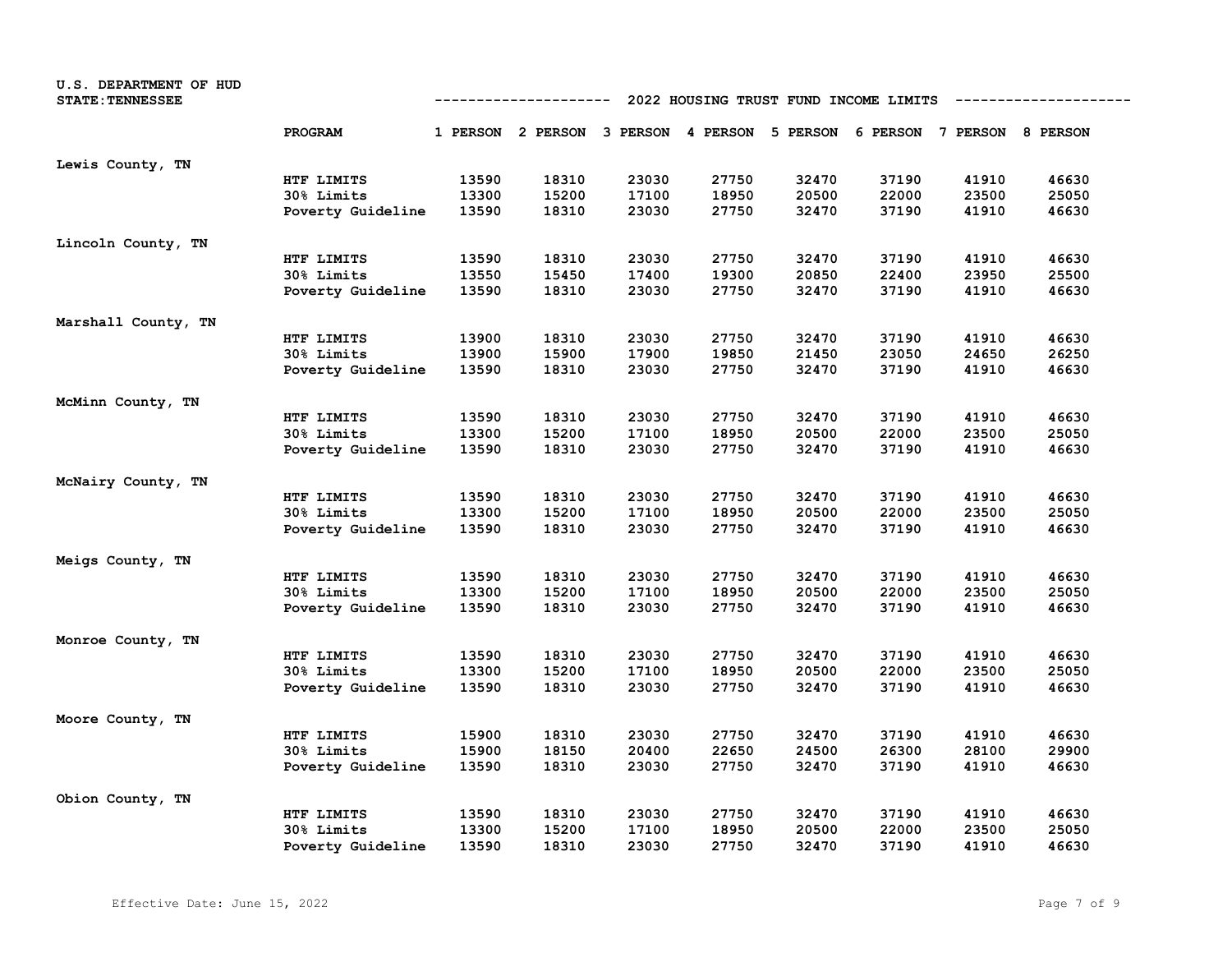| U.S. DEPARTMENT OF HUD<br><b>STATE: TENNESSEE</b> | 2022 HOUSING TRUST FUND INCOME LIMITS<br>----------- |       |                                                                         |       |       |       |       |       |       |  |
|---------------------------------------------------|------------------------------------------------------|-------|-------------------------------------------------------------------------|-------|-------|-------|-------|-------|-------|--|
|                                                   | PROGRAM                                              |       | 1 PERSON 2 PERSON 3 PERSON 4 PERSON 5 PERSON 6 PERSON 7 PERSON 8 PERSON |       |       |       |       |       |       |  |
| Lewis County, TN                                  |                                                      |       |                                                                         |       |       |       |       |       |       |  |
|                                                   | HTF LIMITS                                           | 13590 | 18310                                                                   | 23030 | 27750 | 32470 | 37190 | 41910 | 46630 |  |
|                                                   | 30% Limits                                           | 13300 | 15200                                                                   | 17100 | 18950 | 20500 | 22000 | 23500 | 25050 |  |
|                                                   | Poverty Guideline                                    | 13590 | 18310                                                                   | 23030 | 27750 | 32470 | 37190 | 41910 | 46630 |  |
| Lincoln County, TN                                |                                                      |       |                                                                         |       |       |       |       |       |       |  |
|                                                   | HTF LIMITS                                           | 13590 | 18310                                                                   | 23030 | 27750 | 32470 | 37190 | 41910 | 46630 |  |
|                                                   | 30% Limits                                           | 13550 | 15450                                                                   | 17400 | 19300 | 20850 | 22400 | 23950 | 25500 |  |
|                                                   | Poverty Guideline                                    | 13590 | 18310                                                                   | 23030 | 27750 | 32470 | 37190 | 41910 | 46630 |  |
| Marshall County, TN                               |                                                      |       |                                                                         |       |       |       |       |       |       |  |
|                                                   | HTF LIMITS                                           | 13900 | 18310                                                                   | 23030 | 27750 | 32470 | 37190 | 41910 | 46630 |  |
|                                                   | 30% Limits                                           | 13900 | 15900                                                                   | 17900 | 19850 | 21450 | 23050 | 24650 | 26250 |  |
|                                                   | Poverty Guideline                                    | 13590 | 18310                                                                   | 23030 | 27750 | 32470 | 37190 | 41910 | 46630 |  |
| McMinn County, TN                                 |                                                      |       |                                                                         |       |       |       |       |       |       |  |
|                                                   | HTF LIMITS                                           | 13590 | 18310                                                                   | 23030 | 27750 | 32470 | 37190 | 41910 | 46630 |  |
|                                                   | 30% Limits                                           | 13300 | 15200                                                                   | 17100 | 18950 | 20500 | 22000 | 23500 | 25050 |  |
|                                                   | Poverty Guideline                                    | 13590 | 18310                                                                   | 23030 | 27750 | 32470 | 37190 | 41910 | 46630 |  |
| McNairy County, TN                                |                                                      |       |                                                                         |       |       |       |       |       |       |  |
|                                                   | HTF LIMITS                                           | 13590 | 18310                                                                   | 23030 | 27750 | 32470 | 37190 | 41910 | 46630 |  |
|                                                   | 30% Limits                                           | 13300 | 15200                                                                   | 17100 | 18950 | 20500 | 22000 | 23500 | 25050 |  |
|                                                   | Poverty Guideline                                    | 13590 | 18310                                                                   | 23030 | 27750 | 32470 | 37190 | 41910 | 46630 |  |
| Meigs County, TN                                  |                                                      |       |                                                                         |       |       |       |       |       |       |  |
|                                                   | HTF LIMITS                                           | 13590 | 18310                                                                   | 23030 | 27750 | 32470 | 37190 | 41910 | 46630 |  |
|                                                   | 30% Limits                                           | 13300 | 15200                                                                   | 17100 | 18950 | 20500 | 22000 | 23500 | 25050 |  |
|                                                   | Poverty Guideline                                    | 13590 | 18310                                                                   | 23030 | 27750 | 32470 | 37190 | 41910 | 46630 |  |
| Monroe County, TN                                 |                                                      |       |                                                                         |       |       |       |       |       |       |  |
|                                                   | HTF LIMITS                                           | 13590 | 18310                                                                   | 23030 | 27750 | 32470 | 37190 | 41910 | 46630 |  |
|                                                   | 30% Limits                                           | 13300 | 15200                                                                   | 17100 | 18950 | 20500 | 22000 | 23500 | 25050 |  |
|                                                   | Poverty Guideline                                    | 13590 | 18310                                                                   | 23030 | 27750 | 32470 | 37190 | 41910 | 46630 |  |
| Moore County, TN                                  |                                                      |       |                                                                         |       |       |       |       |       |       |  |
|                                                   | HTF LIMITS                                           | 15900 | 18310                                                                   | 23030 | 27750 | 32470 | 37190 | 41910 | 46630 |  |
|                                                   | 30% Limits                                           | 15900 | 18150                                                                   | 20400 | 22650 | 24500 | 26300 | 28100 | 29900 |  |
|                                                   | Poverty Guideline                                    | 13590 | 18310                                                                   | 23030 | 27750 | 32470 | 37190 | 41910 | 46630 |  |
| Obion County, TN                                  |                                                      |       |                                                                         |       |       |       |       |       |       |  |
|                                                   | HTF LIMITS                                           | 13590 | 18310                                                                   | 23030 | 27750 | 32470 | 37190 | 41910 | 46630 |  |
|                                                   | 30% Limits                                           | 13300 | 15200                                                                   | 17100 | 18950 | 20500 | 22000 | 23500 | 25050 |  |
|                                                   | Poverty Guideline                                    | 13590 | 18310                                                                   | 23030 | 27750 | 32470 | 37190 | 41910 | 46630 |  |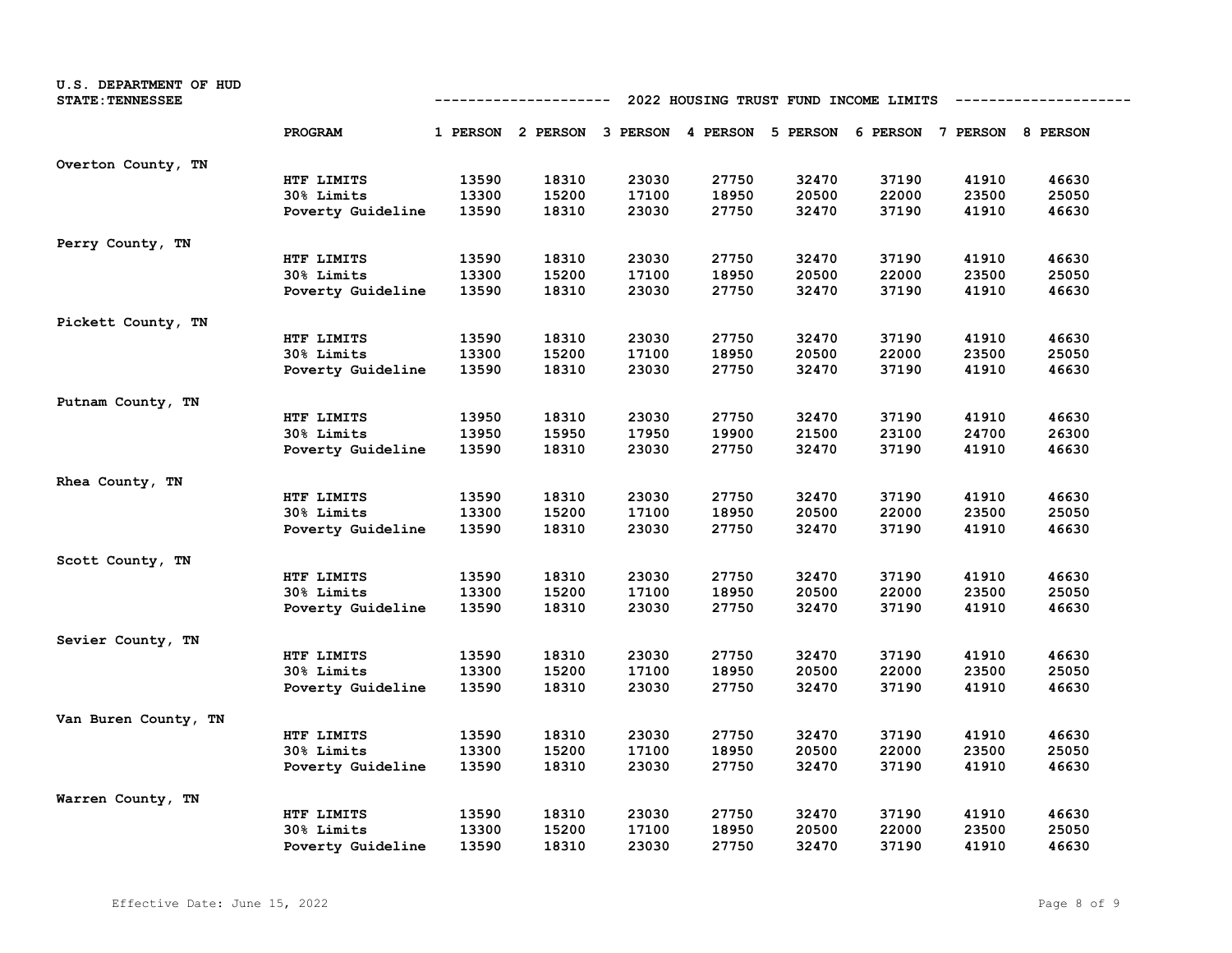| U.S. DEPARTMENT OF HUD<br><b>STATE: TENNESSEE</b> |                   | 2022 HOUSING TRUST FUND INCOME LIMITS<br>------------- |                                                                         |       |       |       |       |       |       |  |  |
|---------------------------------------------------|-------------------|--------------------------------------------------------|-------------------------------------------------------------------------|-------|-------|-------|-------|-------|-------|--|--|
|                                                   | PROGRAM           |                                                        | 1 PERSON 2 PERSON 3 PERSON 4 PERSON 5 PERSON 6 PERSON 7 PERSON 8 PERSON |       |       |       |       |       |       |  |  |
| Overton County, TN                                |                   |                                                        |                                                                         |       |       |       |       |       |       |  |  |
|                                                   | HTF LIMITS        | 13590                                                  | 18310                                                                   | 23030 | 27750 | 32470 | 37190 | 41910 | 46630 |  |  |
|                                                   | 30% Limits        | 13300                                                  | 15200                                                                   | 17100 | 18950 | 20500 | 22000 | 23500 | 25050 |  |  |
|                                                   | Poverty Guideline | 13590                                                  | 18310                                                                   | 23030 | 27750 | 32470 | 37190 | 41910 | 46630 |  |  |
| Perry County, TN                                  |                   |                                                        |                                                                         |       |       |       |       |       |       |  |  |
|                                                   | HTF LIMITS        | 13590                                                  | 18310                                                                   | 23030 | 27750 | 32470 | 37190 | 41910 | 46630 |  |  |
|                                                   | 30% Limits        | 13300                                                  | 15200                                                                   | 17100 | 18950 | 20500 | 22000 | 23500 | 25050 |  |  |
|                                                   | Poverty Guideline | 13590                                                  | 18310                                                                   | 23030 | 27750 | 32470 | 37190 | 41910 | 46630 |  |  |
| Pickett County, TN                                |                   |                                                        |                                                                         |       |       |       |       |       |       |  |  |
|                                                   | HTF LIMITS        | 13590                                                  | 18310                                                                   | 23030 | 27750 | 32470 | 37190 | 41910 | 46630 |  |  |
|                                                   | 30% Limits        | 13300                                                  | 15200                                                                   | 17100 | 18950 | 20500 | 22000 | 23500 | 25050 |  |  |
|                                                   | Poverty Guideline | 13590                                                  | 18310                                                                   | 23030 | 27750 | 32470 | 37190 | 41910 | 46630 |  |  |
| Putnam County, TN                                 |                   |                                                        |                                                                         |       |       |       |       |       |       |  |  |
|                                                   | HTF LIMITS        | 13950                                                  | 18310                                                                   | 23030 | 27750 | 32470 | 37190 | 41910 | 46630 |  |  |
|                                                   | 30% Limits        | 13950                                                  | 15950                                                                   | 17950 | 19900 | 21500 | 23100 | 24700 | 26300 |  |  |
|                                                   | Poverty Guideline | 13590                                                  | 18310                                                                   | 23030 | 27750 | 32470 | 37190 | 41910 | 46630 |  |  |
| Rhea County, TN                                   |                   |                                                        |                                                                         |       |       |       |       |       |       |  |  |
|                                                   | HTF LIMITS        | 13590                                                  | 18310                                                                   | 23030 | 27750 | 32470 | 37190 | 41910 | 46630 |  |  |
|                                                   | 30% Limits        | 13300                                                  | 15200                                                                   | 17100 | 18950 | 20500 | 22000 | 23500 | 25050 |  |  |
|                                                   | Poverty Guideline | 13590                                                  | 18310                                                                   | 23030 | 27750 | 32470 | 37190 | 41910 | 46630 |  |  |
| Scott County, TN                                  |                   |                                                        |                                                                         |       |       |       |       |       |       |  |  |
|                                                   | HTF LIMITS        | 13590                                                  | 18310                                                                   | 23030 | 27750 | 32470 | 37190 | 41910 | 46630 |  |  |
|                                                   | 30% Limits        | 13300                                                  | 15200                                                                   | 17100 | 18950 | 20500 | 22000 | 23500 | 25050 |  |  |
|                                                   | Poverty Guideline | 13590                                                  | 18310                                                                   | 23030 | 27750 | 32470 | 37190 | 41910 | 46630 |  |  |
| Sevier County, TN                                 |                   |                                                        |                                                                         |       |       |       |       |       |       |  |  |
|                                                   | HTF LIMITS        | 13590                                                  | 18310                                                                   | 23030 | 27750 | 32470 | 37190 | 41910 | 46630 |  |  |
|                                                   | 30% Limits        | 13300                                                  | 15200                                                                   | 17100 | 18950 | 20500 | 22000 | 23500 | 25050 |  |  |
|                                                   | Poverty Guideline | 13590                                                  | 18310                                                                   | 23030 | 27750 | 32470 | 37190 | 41910 | 46630 |  |  |
| Van Buren County, TN                              |                   |                                                        |                                                                         |       |       |       |       |       |       |  |  |
|                                                   | HTF LIMITS        | 13590                                                  | 18310                                                                   | 23030 | 27750 | 32470 | 37190 | 41910 | 46630 |  |  |
|                                                   | 30% Limits        | 13300                                                  | 15200                                                                   | 17100 | 18950 | 20500 | 22000 | 23500 | 25050 |  |  |
|                                                   | Poverty Guideline | 13590                                                  | 18310                                                                   | 23030 | 27750 | 32470 | 37190 | 41910 | 46630 |  |  |
| Warren County, TN                                 |                   |                                                        |                                                                         |       |       |       |       |       |       |  |  |
|                                                   | HTF LIMITS        | 13590                                                  | 18310                                                                   | 23030 | 27750 | 32470 | 37190 | 41910 | 46630 |  |  |
|                                                   | 30% Limits        | 13300                                                  | 15200                                                                   | 17100 | 18950 | 20500 | 22000 | 23500 | 25050 |  |  |
|                                                   | Poverty Guideline | 13590                                                  | 18310                                                                   | 23030 | 27750 | 32470 | 37190 | 41910 | 46630 |  |  |